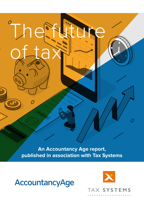**An Accountancy Age report, published in association with Tax Systems**



<sup>o</sup>The

of tax

 $\overline{O}$ 

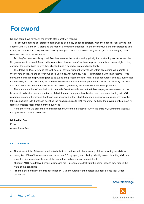## **Foreword**

No one could have foreseen the events of the past few months.

For accountants and tax professionals it was to be a busy period regardless, with one financial year turning into another with IR35 and MTD grabbing the market's immediate attention. As the coronavirus pandemic started to take its toll, the professions' daily workload quickly changed – as did the advice they would give their changing client base and their internal resources.

And they've been kept busy: cash flow has become the most pressing priority for most going concerns, and the UK government's many different initiatives to keep businesses afloat have kept accountants up late at night as they consider the best advice to give their clients during a period of profound uncertainty.

The delays to IR35, MTD and the VAT deferral have rewritten the way those within accounting will operate in the months ahead. As the coronavirus crisis unfolded, Accountancy Age – in partnership with Tax Systems – was surveying our readership with regards to attitudes and preparedness for MTD, digital resources, and how businesses were dealing with VAT reporting as these were the three most important pertinent issues on the industry's mind at that time. Here, we present the results of our research, revealing just how the industry was positioned.

There are a number of conclusions to be made from the study, and in the following pages we've assessed just how far along businesses were in terms of digital restructuring and how businesses have been dealing with VAT reporting, among other issues. For those less advanced in their digital adoption, economic pressures may now be taking significant tolls. For those devoting too much resource to VAT reporting, perhaps the government's delays will force a complete recalibration of their business.

Here, therefore, we present a clear snapshot of where the market was when the crisis hit, illuminating just how well prepared – or not – we were.

#### **Michael McCaw**

Editor Accountancy Age

#### **KEY TAKEAWAYS**

- ♦ Almost two thirds of the market admitted a lack of confidence in the accuracy of their reporting capabilities
- ♦ Nearly two fifths of businesses spend more than 25 days per year collating, identifying and inputting VAT data annually, with a substantial share of the market still falling back on spreadsheets
- ♦ Although MTD was delayed, many businesses are ill prepared to deal with the complications they face in the wake of the pandemic
- ♦ Around a third of finance teams have used MTD to encourage technological advances across their wider businesses

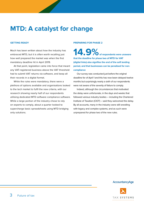## **MTD: A catalyst for change**

#### **GETTING READY**

Much has been written about how the industry has embraced MTD, but it is often worth recalling just how well prepared the market was when the first mandatory deadline hit in April 2019.

At that point, legislation came into force that meant any VAT-registered business above the VAT threshold had to submit VAT returns via software, and keep all their records in a digital format.

While the rules were mandatory, there were a plethora of options available and organisations looked to the tech market to fulfil the new criteria, with our research showing nearly half of our respondents utilising dedicated MTD software compliance software. While a large portion of the industry chose to rely on experts to comply, about a quarter looked to supercharge basic spreadsheets using MTD bridging only solutions.

#### **PREPARING FOR PHASE 2**

14.9% of respondents were unaware **that the deadline for phase two of MTD for VAT (digital links) also signifies the end of the soft landing period, and that businesses can be penalised for noncompliance**

Our survey was conducted just before the original deadline for of April 1 and this has now been delayed twelve months but surprisingly nearly a sixth of our respondents were not aware of the severity of failure to comply.

Indeed, although the circumstances that motivated the delay were unfortunate, in the days and weeks that followed various industry bodies – including the Chartered Institute of Taxation (CIOT) – said they welcomed the delay. By all accounts, many in the industry were still wrestling with legacy and complex systems, and as such were unprepared for phase two of the new rules.

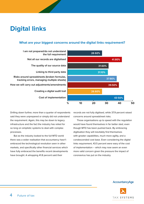# **Digital links**

## **What are your biggest concerns around the digital links requirement?**

**Cost of implementation Creating a digital audit trail How we will carry out adjustments/amendments Risks around spreadsheets (broken formulas, tracking errors, managing multiple sheets) Linking to third party data The quality of our source data Not all our records are digitalised I am not prepared/do not understand the full requirement**



Drilling down further, more than a quarter of respondents said they were unprepared or simply did not understand the requirement. Again, this may be down to legacy infrastructure and the fact the industry has relied for so long on simplistic systems to deal with complex processes.

But as the industry looked to the full MTD world there was a wider realisation that accountancy hasn't embraced the technological revolution seen in other markets, and specifically other financial services which have fully embraced the benefits recent developments have brought. A whopping 41.8 percent said their

records are not fully digitised, while 37.9 percent raised concerns around spreadsheet risks.

Those organisations up to speed with the regulation would have found themselves in far better sted, even though MTD has been pushed back. By embracing digitisation they will inevitably find themselves with greater capabilities, much more agility, and a condescended cost base. Even considering the digital links requirement, 43.5 percent were wary of the cost of implementation – which may now seem an even more valid concern given the pressure the impact of coronavirus has put on the industry.

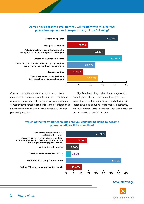### **Do you have concerns over how you will comply with MTD for VAT phase two regulations in respect to any of the following?**



**General compliance** 

**Exemption of entities** 

Adjustments ie fuel scale charges, partial exemption (Standard and Special Method) etc

Amendments/error corrections

Combining records from individual groups/entities using multiple accounting systems sheets

**Overseas entities** 

Special schemes i.e. retail scheme, flat rate scheme, margin scheme etc

Concerns around non-compliance are many, which comes as little surprise given the reliance on makeshift processes to conform with the rules. A large proportion of respondents foresaw problems related to migration to new technological systems, with functional issues also presenting hurdles.

Significant reporting and audit challenges exist, with 46 percent concerned about having to make amendments and error corrections and a further 32 percent worried about having to make adjustments, while 26 percent were unsure how they would meet the requirements of special schemes.

## **Which of the following techniques are you considering using to become phase two digital links compliant?**



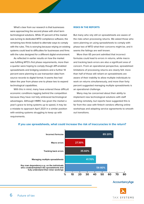What's clear from our research is that businesses were approaching the second phase with short term technological solutions. While 37 percent of the market was turning to dedicated MTD compliance software, the remaining two thirds looked to alternate ways to comply with the rules. This is worrying because relying on existing systems could lead to difficulties for businesses and firms with the rules designed for a different digital environment.

As reflected in earlier results on how the market was fulfilling MTD's first phase requirements, more than a quarter were hoping to comply though API-enabled spreadsheets and bridging solutions and a further 14 percent were planning to use transaction data from source records to digital format. It seems few had taken the year from phase one to phase two to expand technological capabilities.

With this in mind, many have entered these difficult economic conditions lagging behind the competition because they have not fully embraced technological advantages. Although HMRC has given the market a year's grace to bring systems up to speed, it may be a mistake to approach April 2021 in a similar position with existing systems struggling to keep up with requirements.

#### **RISKS IN THE REPORTS**

But many who rely still on spreadsheets are aware of the risks when processing returns. We asked those who were planning on using spreadsheets to comply with phase two of MTD what their concerns might be, and it seems the failings are well known.

More than 65 percent admitted that incorrect formulas could lead to errors in returns, while macro and tracking back errors are also a significant area of concern. From an operational perspective, spreadsheet limitations of processing returns are clearly felt: more than half of those still reliant on spreadsheets are aware of their inability to allow multiple individuals to work on returns simultaneously, and more than forty percent suggested managing multiple spreadsheets is an operational challenge.

Many may be concerned about their ability to implement new technological solutions with staff working remotely, but reports have suggested this is far from the case with fintech vendors offering online workshops and adapting service agreements to smooth out transitions.



#### **If you use spreadsheets, what could increase the risk of inaccuracies in the return?**

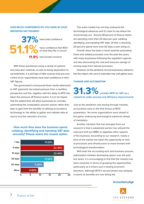### **HOW MUCH CONFIDENCE DO YOU HAVE IN YOUR REPORTED VAT FIGURES?**

have total confidence **11.9%** have broad concerns have confidence that 90%+ of what they file is correct **37% 51.1%**

With those questioned using a variety of systems and execution methods, as well as being dependent on spreadsheets, it is perhaps of little surprise that just over a third of our respondents have total confidence in their VAT figures.

The government's announced three month deferment to VAT payments has eased pressure from a cashflow perspective and this, together with the delay to MTD has taken the pressure off finance teams. It is to be hoped that the added time will allow businesses to consider automating the computation process sooner rather than later to gain from the benefits of utilising accountancy technology ie. the ability to gather and validate data at source and the reduction of errors.

### **How much time does the business spend collating, identifying and inputting VAT data annually? Please select the closest option.**



The entire market has not fully embraced the technological advances and it's clear to see where the shortcomings are. Around 38 percent of finance teams are spending more than 25 days per year collating, identifying, and inputting VAT data. Of that, a shocking 20 percent spend more than 50 days a year doing so.

Overall, there has been a move towards automating these and related processes over the past few years, with many businesses following the regulator's agenda and also discovering the cost and resource savings of moving away from manual processes.

However, as the pandemic hit and businesses started to feel the impact, the race to automate may well gather pace.

#### **CHANGE AND AUTOMATION**

## **31.3% consider MTD for VAT as a catalyst for wider process and efficiency improvements**

Just as the pandemic was tearing through markets, accountants were in the final throes of MTD preparation. Yet some organisations were ahead of the game, embracing technological advances ahead of mandation.

Another narrative that has emerged from our research is that a substantial portion has utilised the rules put forth by HMRC to digitalise other aspects of the business. According to our research, nearly a third of the market has taken the opportunity to look at processes and infrastructure to move forward with technological transformation.

With both the accounting tech and business process optimisation markets developing apace over the past few years, it is encouraging to find that the industry has been proactive in terms of grasping the opportunities, particularly as it enters such a testing economic downturn. Although MTD's second phase was delayed, it seems its benefits are now being felt.

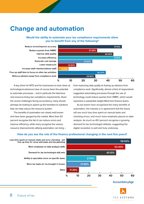## **Change and automation**

## **Would the ability to automate your tax compliance requirements allow you to benefit from any of the following?**



A key driver for MTD and for businesses to look closer at technological advances have of course been the potential to automate processes – and in particular the laborious and resource-heavy tax compliance requirements. Given the recent challenges facing accountancy, many should perhaps be looking to speed up the transition to solutions that can help reduce the resource burden.

The benefits of automation are clearly well known and have been gauged by the market. More than 50 percent recognise the fact it can reduce errors and improve efficiency, while many recognise the various resource improvements utilising automation can bring – from improving data quality to freeing up advisors from compliance work. Significantly, almost a third of respondents suggested automating processes through the use of technology could reduce queries from HMRC, which would represent a substantial weight lifted from finance teams.

As tax teams have recognised the many benefits of automation, the industry is in agreement that the future will see much less time spent on manual tasks and checking errors, and much more emphasis placed on data analysis. As much as 45.1 percent recognise a growing demand for tax technologist skillsets, suggesting the digital revolution is well and truly underway.

## **How do you see the role of the finance professional changing in the next five years?**